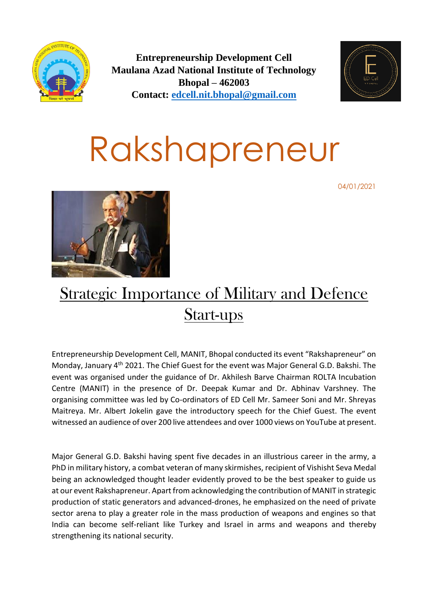

**Entrepreneurship Development Cell Maulana Azad National Institute of Technology Bhopal – 462003 Contact: [edcell.nit.bhopal@gmail.com](mailto:edcell.nit.bhopal@gmail.com)**



## Rakshapreneur

04/01/2021



## Strategic Importance of Military and Defence Start-ups

Entrepreneurship Development Cell, MANIT, Bhopal conducted its event "Rakshapreneur" on Monday, January 4th 2021. The Chief Guest for the event was Major General G.D. Bakshi. The event was organised under the guidance of Dr. Akhilesh Barve Chairman ROLTA Incubation Centre (MANIT) in the presence of Dr. Deepak Kumar and Dr. Abhinav Varshney. The organising committee was led by Co-ordinators of ED Cell Mr. Sameer Soni and Mr. Shreyas Maitreya. Mr. Albert Jokelin gave the introductory speech for the Chief Guest. The event witnessed an audience of over 200 live attendees and over 1000 views on YouTube at present.

Major General G.D. Bakshi having spent five decades in an illustrious career in the army, a PhD in military history, a combat veteran of many skirmishes, recipient of Vishisht Seva Medal being an acknowledged thought leader evidently proved to be the best speaker to guide us at our event Rakshapreneur. Apart from acknowledging the contribution of MANIT in strategic production of static generators and advanced-drones, he emphasized on the need of private sector arena to play a greater role in the mass production of weapons and engines so that India can become self-reliant like Turkey and Israel in arms and weapons and thereby strengthening its national security.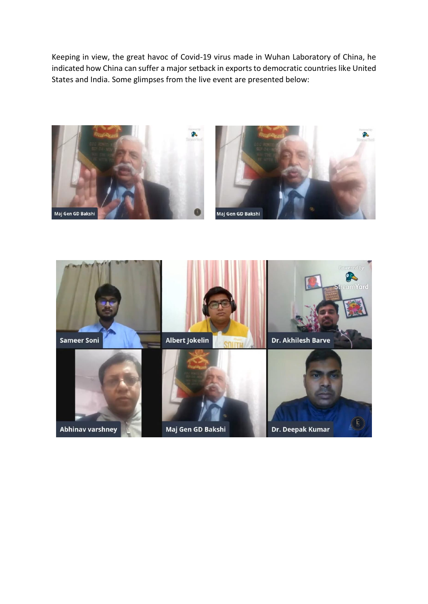Keeping in view, the great havoc of Covid-19 virus made in Wuhan Laboratory of China, he indicated how China can suffer a major setback in exports to democratic countries like United States and India. Some glimpses from the live event are presented below: